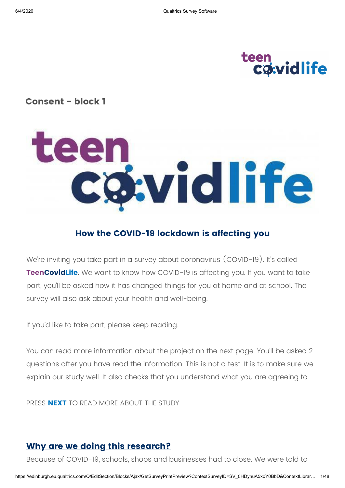# teen<br>Covidlife

### **Consent - block 1**

# teen<br>Cowidlife

# **How the COVID-19 lockdown is affecting you**

We're inviting you take part in a survey about coronavirus (COVID-19). It's called **TeenCovidLife**. We want to know how COVID-19 is affecting you. If you want to take part, you'll be asked how it has changed things for you at home and at school. The survey will also ask about your health and well-being.

If you'd like to take part, please keep reading.

You can read more information about the project on the next page. You'll be asked 2 questions after you have read the information. This is not a test. It is to make sure we explain our study well. It also checks that you understand what you are agreeing to.

PRESS **NEXT** TO READ MORE ABOUT THE STUDY

### **Why are we doing this research?**

Because of COVID-19, schools, shops and businesses had to close. We were told to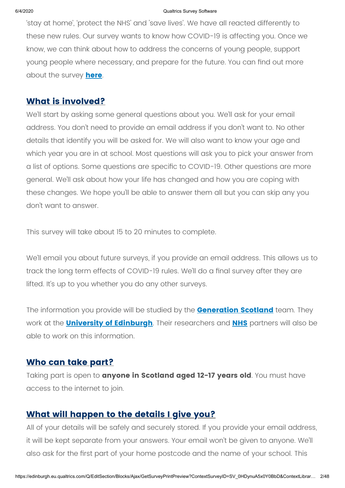'stay at home', 'protect the NHS' and 'save lives'. We have all reacted differently to these new rules. Our survey wants to know how COVID-19 is affecting you. Once we know, we can think about how to address the concerns of young people, support young people where necessary, and prepare for the future. You can find out more about the survey **[here](https://www.ed.ac.uk/generation-scotland/covidlife-volunteers/teencovidlife)**.

### **What is involved?**

We'll start by asking some general questions about you. We'll ask for your email address. You don't need to provide an email address if you don't want to. No other details that identify you will be asked for. We will also want to know your age and which year you are in at school. Most questions will ask you to pick your answer from a list of options. Some questions are specific to COVID-19. Other questions are more general. We'll ask about how your life has changed and how you are coping with these changes. We hope you'll be able to answer them all but you can skip any you don't want to answer.

This survey will take about 15 to 20 minutes to complete.

We'll email you about future surveys, if you provide an email address. This allows us to track the long term effects of COVID-19 rules. We'll do a final survey after they are lifted. It's up to you whether you do any other surveys.

The information you provide will be studied by the **[Generation Scotland](http://generationscotland.org/)** team. They work at the **[University of Edinburgh](http://www.ed.ac.uk/)**. Their researchers and **[NHS](http://www.nhs.uk/nhs-sites/)** partners will also be able to work on this information.

### **Who can take part?**

Taking part is open to **anyone in Scotland aged 12-17 years old**. You must have access to the internet to join.

### **What will happen to the details I give you?**

All of your details will be safely and securely stored. If you provide your email address, it will be kept separate from your answers. Your email won't be given to anyone. We'll also ask for the first part of your home postcode and the name of your school. This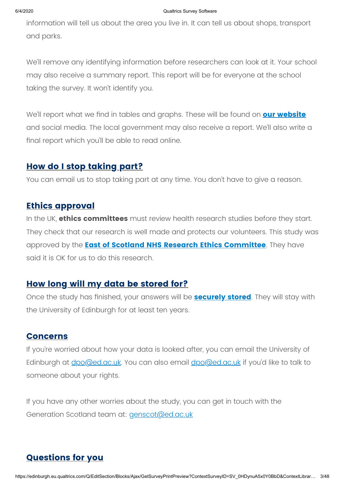### 6/4/2020 Qualtrics Survey Software

information will tell us about the area you live in. It can tell us about shops, transport and parks.

We'll remove any identifying information before researchers can look at it. Your school may also receive a summary report. This report will be for everyone at the school taking the survey. It won't identify you.

We'll report what we find in tables and graphs. These will be found on **[our website](http://www.ed.ac.uk/generation-scotland/what-have-we-found)** and social media. The local government may also receive a report. We'll also write a final report which you'll be able to read online.

### **How do I stop taking part?**

You can email us to stop taking part at any time. You don't have to give a reason.

### **Ethics approval**

In the UK, **ethics committees** must review health research studies before they start. They check that our research is well made and protects our volunteers. This study was approved by the **[East of Scotland NHS Research Ethics Committee](http://www.nhstayside.scot.nhs.uk/YourHealthBoard/TheBoardanditsCommittees/EastofScotlandResearchEthicsService/index.htm)**. They have said it is OK for us to do this research.

### **How long will my data be stored for?**

Once the study has finished, your answers will be **[securely stored](http://www.ed.ac.uk/generation-scotland/covidlife-volunteers/faqs)**. They will stay with the University of Edinburgh for at least ten years.

### **Concerns**

If you're worried about how your data is looked after, you can email the University of Edinburgh at <u>dpo@ed.ac.uk</u>. You can also email **dpo@ed.ac.uk** if you'd like to talk to someone about your rights.

If you have any other worries about the study, you can get in touch with the Generation Scotland team at: *genscot@ed.ac.uk* 

# **Questions for you**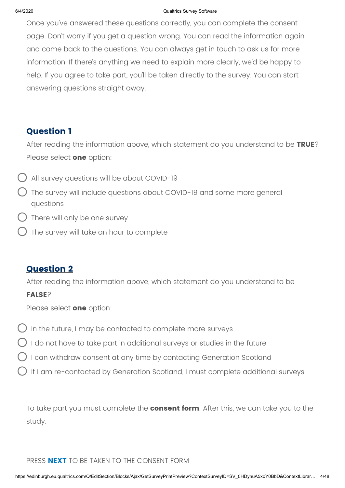### 6/4/2020 Qualtrics Survey Software

Once you've answered these questions correctly, you can complete the consent page. Don't worry if you get a question wrong. You can read the information again and come back to the questions. You can always get in touch to ask us for more information. If there's anything we need to explain more clearly, we'd be happy to help. If you agree to take part, you'll be taken directly to the survey. You can start answering questions straight away.

### **Question 1**

After reading the information above, which statement do you understand to be **TRUE**? Please select **one** option:

- All survey questions will be about COVID-19
- The survey will include questions about COVID-19 and some more general questions
- There will only be one survey
- The survey will take an hour to complete

### **Question 2**

After reading the information above, which statement do you understand to be

### **FALSE**?

Please select **one** option:

- In the future, I may be contacted to complete more surveys
- I do not have to take part in additional surveys or studies in the future
- I can withdraw consent at any time by contacting Generation Scotland
- If I am re-contacted by Generation Scotland, I must complete additional surveys

To take part you must complete the **consent form**. After this, we can take you to the study.

### PRESS **NEXT** TO BE TAKEN TO THE CONSENT FORM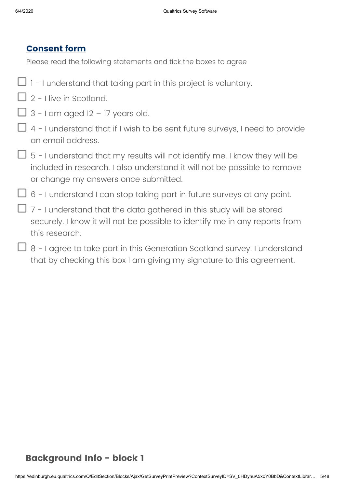### **Consent form**

Please read the following statements and tick the boxes to agree

- $\Box$  1 I understand that taking part in this project is voluntary.
- $\Box$  2 I live in Scotland.
- $\Box$  3 I am aged 12 17 years old.
- $\Box$  4 I understand that if I wish to be sent future surveys, I need to provide an email address.
- $\Box$  5 I understand that my results will not identify me. I know they will be included in research. I also understand it will not be possible to remove or change my answers once submitted.
- $\Box$  6 I understand I can stop taking part in future surveys at any point.
- $\Box$  7 I understand that the data gathered in this study will be stored securely. I know it will not be possible to identify me in any reports from this research.
- $\Box$  8 I agree to take part in this Generation Scotland survey. I understand that by checking this box I am giving my signature to this agreement.

### **Background Info - block 1**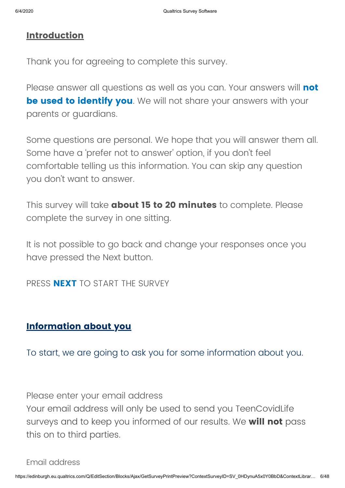### **Introduction**

Thank you for agreeing to complete this survey.

Please answer all questions as well as you can. Your answers will **not be used to identify you**. We will not share your answers with your parents or guardians.

Some questions are personal. We hope that you will answer them all. Some have a 'prefer not to answer' option, if you don't feel comfortable telling us this information. You can skip any question you don't want to answer.

This survey will take **about 15 to 20 minutes** to complete. Please complete the survey in one sitting.

It is not possible to go back and change your responses once you have pressed the Next button.

PRESS **NEXT** TO START THE SURVEY

### **Information about you**

To start, we are going to ask you for some information about you.

Please enter your email address

Your email address will only be used to send you TeenCovidLife surveys and to keep you informed of our results. We **will not** pass this on to third parties.

Email address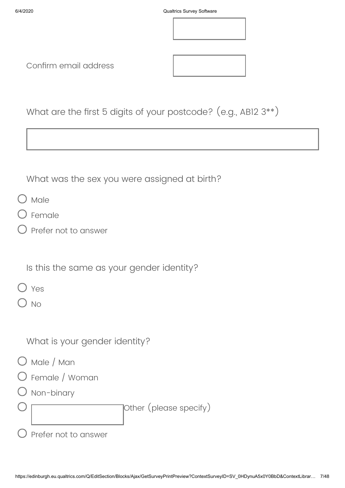

Confirm email address

| What are the first 5 digits of your postcode? (e.g., ABI2 3**) |  |  |  |  |
|----------------------------------------------------------------|--|--|--|--|
|----------------------------------------------------------------|--|--|--|--|

What was the sex you were assigned at birth?

- $O$  Male
- Female
- Prefer not to answer

Is this the same as your gender identity?

Yes

 $\sum$  No

What is your gender identity?

- O Male / Man
- Female / Woman
- ) Non-binary

Other (please specify)

 $\bigcirc$  Prefer not to answer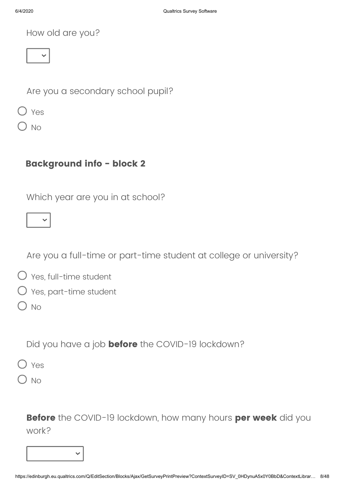How old are you?



Are you a secondary school pupil?

Yes

 $\overline{\phantom{a}}$ 

# **Background info - block 2**

Which year are you in at school?



Are you a full-time or part-time student at college or university?

- Yes, part-time student
- $O$  No

Did you have a job **before** the COVID-19 lockdown?

 $\bigcap$  Yes

) No

**Before** the COVID-19 lockdown, how many hours **per week** did you work?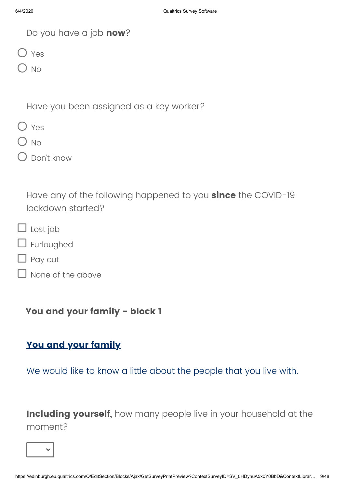| Do you have a job now? |  |  |  |
|------------------------|--|--|--|
|------------------------|--|--|--|

O Yes

 $\bigcap$  No

Have you been assigned as a key worker?

|--|--|

 $\bigcirc$  No

Don't know

Have any of the following happened to you **since** the COVID-19 lockdown started?

- $\Box$  Lost job
- **J** Furloughed
- Pay cut
	- None of the above

**You and your family - block 1**

### **You and your family**

We would like to know a little about the people that you live with.

**Including yourself,** how many people live in your household at the moment?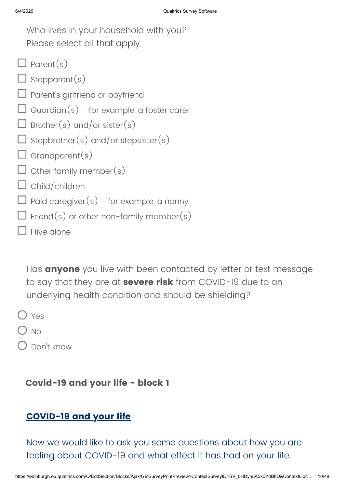| Who lives in your household with you?            |
|--------------------------------------------------|
| Please select all that apply                     |
| $\Box$ Parent(s)                                 |
| $\Box$ stepparent(s)                             |
| $\Box$ Parent's girlfriend or boyfriend          |
| $\Box$ Guardian(s) - for example, a foster carer |
| $\Box$ Brother(s) and/or sister(s)               |
| $\Box$ Stepbrother(s) and/or stepsister(s)       |
| $\Box$ Grandparent(s)                            |
| $\Box$ Other family member(s)                    |
| $\Box$ Child/children                            |
| $\Box$ Paid caregiver(s) - for example, a nanny  |
| $\Box$ Friend(s) or other non-family member(s)   |
| I live alone                                     |

Has **anyone** you live with been contacted by letter or text message to say that they are at **severe risk** from COVID-19 due to an underlying health condition and should be shielding?

O Yes

 $\bigcirc$  No

Don't know

### **Covid-19 and your life - block 1**

### **COVID-19 and your life**

Now we would like to ask you some questions about how you are feeling about COVID-19 and what effect it has had on your life.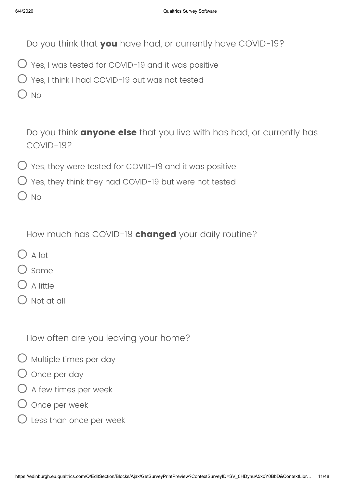Do you think that **you** have had, or currently have COVID-19?

- $\bigcirc$  Yes, I was tested for COVID-19 and it was positive
- Yes, I think I had COVID-19 but was not tested
- $\bigcirc$  No

Do you think **anyone else** that you live with has had, or currently has COVID-19?

- $O$  Yes, they were tested for COVID-19 and it was positive
- $\bigcirc$  Yes, they think they had COVID-19 but were not tested

) No

How much has COVID-19 **changed** your daily routine?

- $\bigcap$  A lot
- ) some
- A little
- Not at all

How often are you leaving your home?

- $\bigcirc$  Multiple times per day
- O Once per day
- $\bigcirc$  A few times per week
- Once per week
- Less than once per week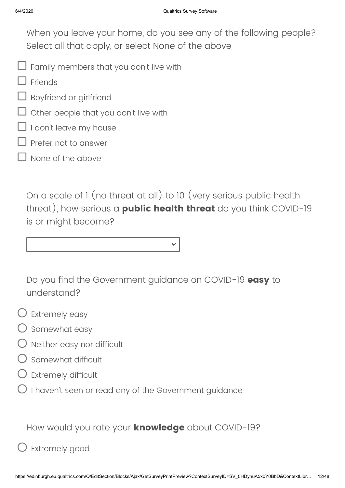When you leave your home, do you see any of the following people? Select all that apply, or select None of the above

- $\overline{\mathsf{J}}$  Family members that you don't live with
- Friends
- **J** Boyfriend or girlfriend
- Other people that you don't live with
- I don't leave my house
- Prefer not to answer
- None of the above

On a scale of 1 (no threat at all) to 10 (very serious public health threat), how serious a **public health threat** do you think COVID-19 is or might become?

Do you find the Government guidance on COVID-19 **easy** to understand?

- $\bigcirc$  Extremely easy
- $\bigcirc$  somewhat easy
- $\bigcirc$  Neither easy nor difficult
- Somewhat difficult
- Extremely difficult
- $\bigcirc$  I haven't seen or read any of the Government guidance

How would you rate your **knowledge** about COVID-19?

# Extremely good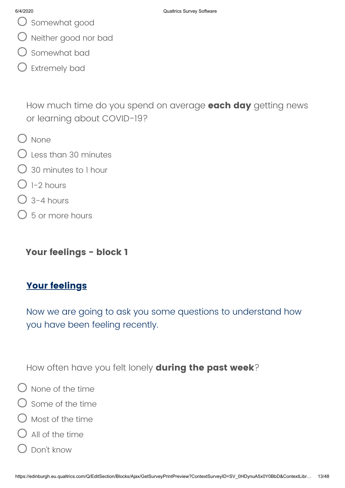- $\bigcup$  Somewhat good
- Neither good nor bad
- Somewhat bad
- Extremely bad

How much time do you spend on average **each day** getting news or learning about COVID-19?

- $O$  None
- Less than 30 minutes
- 30 minutes to 1 hour
- $\bigcirc$  1-2 hours
- $\bigcap$  3-4 hours
- $\bigcirc$  5 or more hours

**Your feelings - block 1**

### **Your feelings**

Now we are going to ask you some questions to understand how you have been feeling recently.

How often have you felt lonely **during the past week**?

- $\bigcirc$  None of the time
- $\bigcirc$  Some of the time
- Most of the time
- $\bigcirc$  All of the time
- $\bigcirc$  Don't know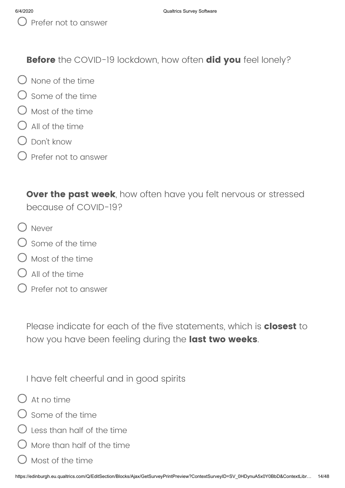**Before** the COVID-19 lockdown, how often **did you** feel lonely?

- $\bigcap$  None of the time
- $\bigcap$  Some of the time
- $\bigcirc$  Most of the time
- $\bigcap$  All of the time
- Don't know
- Prefer not to answer

**Over the past week**, how often have you felt nervous or stressed because of COVID-19?

- Never
- $\bigcirc$  Some of the time
- Most of the time
- All of the time
- Prefer not to answer

Please indicate for each of the five statements, which is **closest** to how you have been feeling during the **last two weeks**.

I have felt cheerful and in good spirits

- $\bigcap$  At no time
- $\bigcirc$  some of the time
- $\bigcirc$  less than half of the time
- More than half of the time
- Most of the time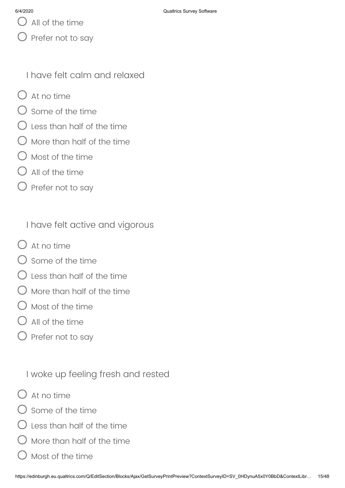$\bigcup$  All of the time

) Prefer not to say

I have felt calm and relaxed

- $O$  At no time
- $\bigcirc$  Some of the time
- ) Less than half of the time
- $\bigcup$  More than half of the time
- $\bigcirc$  Most of the time
- All of the time
- Prefer not to say

I have felt active and vigorous

- $\bigcap$  At no time
- $\bigcirc$  some of the time
- Less than half of the time
- More than half of the time
- Most of the time
- ) All of the time
- $\bigcirc$  Prefer not to say

I woke up feeling fresh and rested

- $\bigcap$  At no time
- Some of the time
- Less than half of the time
- More than half of the time
- Most of the time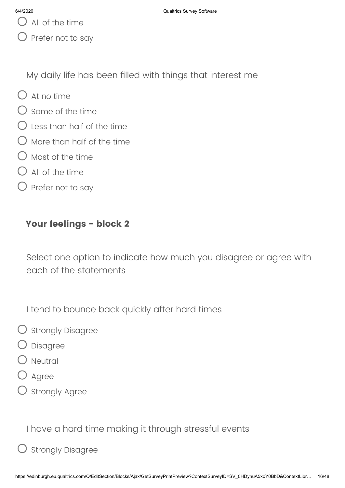$\bigcup$  All of the time

Prefer not to say

My daily life has been filled with things that interest me

- $O$  At no time
- $\bigcirc$  Some of the time
- $\bigcirc$  Less than half of the time
- $\bigcirc$  More than half of the time
- $\bigcirc$  Most of the time
- $O$  All of the time
- $\bigcirc$  Prefer not to say

### **Your feelings - block 2**

Select one option to indicate how much you disagree or agree with each of the statements

I tend to bounce back quickly after hard times

- $\bigcirc$  Strongly Disagree
- Disagree
- Neutral
- Agree
- ) Strongly Agree

I have a hard time making it through stressful events

# Strongly Disagree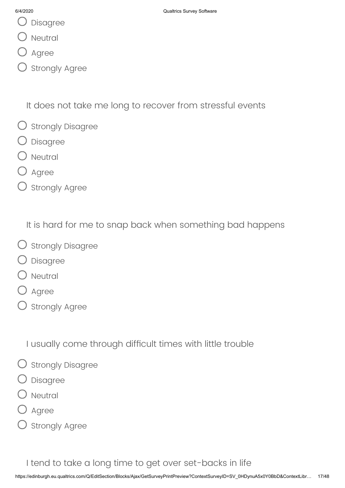- Disagree
- Neutral
- Agree
- Strongly Agree

It does not take me long to recover from stressful events

- $\bigcirc$  Strongly Disagree
- Disagree
- ) Neutral
- Agree
- $O$  Strongly Agree

It is hard for me to snap back when something bad happens

- O strongly Disagree
- Disagree
- **Neutral**
- Agree
- $\bigcirc$  Strongly Agree

I usually come through difficult times with little trouble

- $\bigcirc$  Strongly Disagree
- Disagree
- Neutral
- Agree
- ) Strongly Agree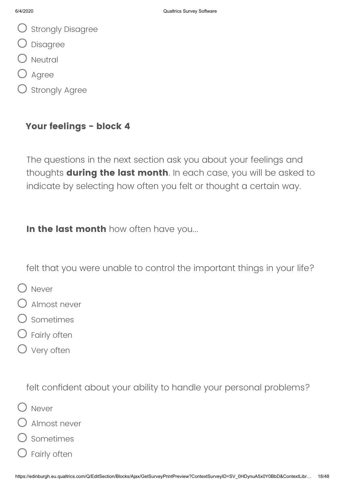- $\bigcirc$  Strongly Disagree
- Disagree
- $\bigcirc$  Neutral
- Agree
- ) Strongly Agree

### **Your feelings - block 4**

The questions in the next section ask you about your feelings and thoughts **during the last month**. In each case, you will be asked to indicate by selecting how often you felt or thought a certain way.

**In the last month** how often have you...

felt that you were unable to control the important things in your life?

- O Never
- Almost never
- $\bigcirc$  Sometimes
- Fairly often
- O Very often

felt confident about your ability to handle your personal problems?

- O Never
- Almost never
- Sometimes
- Fairly often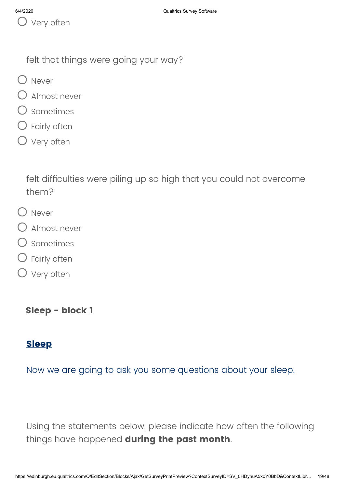felt that things were going your way?

- O Never
- Almost never
- Sometimes
- Fairly often
- O Very often

felt difficulties were piling up so high that you could not overcome them?

- O Never
- Almost never
- Sometimes
- Fairly often
- O Very often

**Sleep - block 1**

# **Sleep**

Now we are going to ask you some questions about your sleep.

Using the statements below, please indicate how often the following things have happened **during the past month**.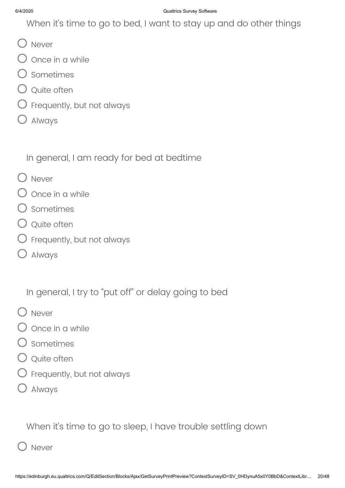When it's time to go to bed, I want to stay up and do other things

- O Never
- $\bigcirc$  Once in a while
- O sometimes
- Q Quite often
- $\bigcirc$  Frequently, but not always
- Always

In general, I am ready for bed at bedtime

- O Never
- $\bigcirc$  once in a while
- $\bigcirc$  Sometimes
- Q Quite often
- $\bigcirc$  Frequently, but not always
- Always

In general, I try to "put off" or delay going to bed

- O Never
- $\bigcirc$  once in a while
- Sometimes
- $\bigcirc$  Quite often
- $\bigcirc$  Frequently, but not always
- Always

When it's time to go to sleep, I have trouble settling down

D Never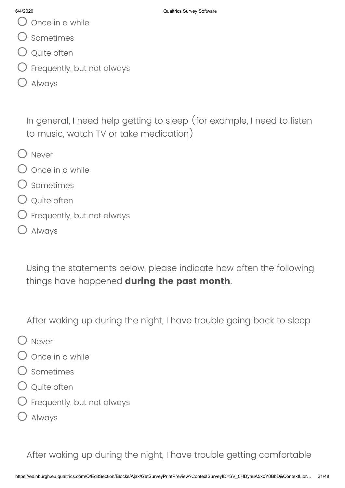- Once in a while
- Sometimes
- $\bigcirc$  Quite often
- Frequently, but not always
- Always

In general, I need help getting to sleep (for example, I need to listen to music, watch TV or take medication)

- O Never
- $\bigcirc$  Once in a while
- Sometimes
- Quite often
- $\bigcirc$  Frequently, but not always
- Always

Using the statements below, please indicate how often the following things have happened **during the past month**.

After waking up during the night, I have trouble going back to sleep

- O Never
- Once in a while
- Sometimes
- $\bigcirc$  Ouite often
- Frequently, but not always
- Always

After waking up during the night, I have trouble getting comfortable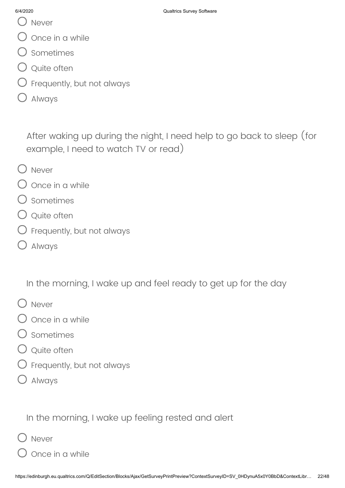- () Never
- Once in a while
- Sometimes
- Q Quite often
- $\bigcirc$  Frequently, but not always
- Always

After waking up during the night, I need help to go back to sleep (for example, I need to watch TV or read)

- O Never
- Once in a while
- Sometimes
- $\bigcirc$  Quite often
- $\bigcirc$  Frequently, but not always
- Always

In the morning, I wake up and feel ready to get up for the day

- O Never
- Once in a while
- Sometimes
- Q Quite often
- $\bigcirc$  Frequently, but not always
- Always

In the morning, I wake up feeling rested and alert

- Never
	- Once in a while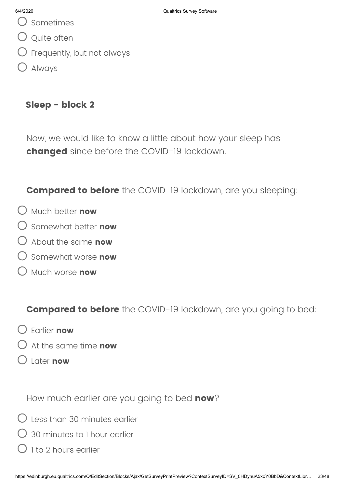- Sometimes
- Q Quite often
- $\bigcirc$  Frequently, but not always
- Always

### **Sleep - block 2**

Now, we would like to know a little about how your sleep has **changed** since before the COVID-19 lockdown.

**Compared to before** the COVID-19 lockdown, are you sleeping:

- Much better **now**
- Somewhat better **now**
- About the same **now**
- Somewhat worse **now**
- Much worse **now**

**Compared to before** the COVID-19 lockdown, are you going to bed:

- Earlier **now**
- At the same time **now**
- Later **now**

How much earlier are you going to bed **now**?

- $\bigcirc$  Less than 30 minutes earlier
- 30 minutes to 1 hour earlier
- $\bigcirc$  1 to 2 hours earlier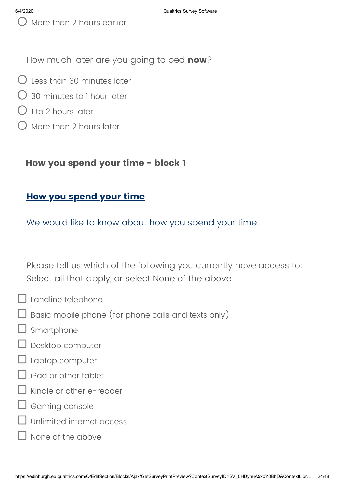More than 2 hours earlier

How much later are you going to bed **now**?

- $\bigcirc$  Less than 30 minutes later
- 30 minutes to 1 hour later
- $\bigcirc$  1 to 2 hours later
- More than 2 hours later

### **How you spend your time - block 1**

### **How you spend your time**

We would like to know about how you spend your time.

Please tell us which of the following you currently have access to: Select all that apply, or select None of the above

- $\Box$  Landline telephone
	- $\Box$  Basic mobile phone (for phone calls and texts only)
- Smartphone
- Desktop computer
- Laptop computer
- iPad or other tablet
- Kindle or other e-reader
- Gaming console
- Unlimited internet access
- None of the above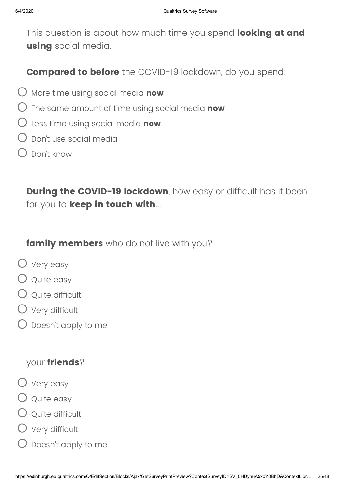This question is about how much time you spend **looking at and using** social media.

**Compared to before** the COVID-19 lockdown, do you spend:

- More time using social media **now**
- The same amount of time using social media **now**
- Less time using social media **now**
- Don't use social media
- $\bigcap$  Don't know

**During the COVID-19 lockdown**, how easy or difficult has it been for you to **keep in touch with**...

### **family members** who do not live with you?

- Very easy
- Q Quite easy
- $\bigcirc$  Ouite difficult
- Very difficult
- Doesn't apply to me

### your **friends**?

- Very easy
- Q Quite easy
- $\bigcirc$  Quite difficult
- Very difficult
- Doesn't apply to me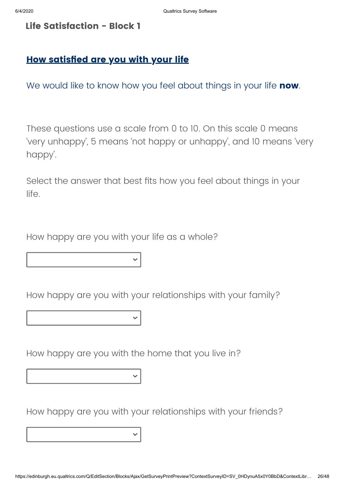### **Life Satisfaction - Block 1**

### **How satisfied are you with your life**

We would like to know how you feel about things in your life **now**.

These questions use a scale from 0 to 10. On this scale 0 means 'very unhappy', 5 means 'not happy or unhappy', and 10 means 'very happy'.

Select the answer that best fits how you feel about things in your life.

How happy are you with your life as a whole?

How happy are you with your relationships with your family?

How happy are you with the home that you live in?

How happy are you with your relationships with your friends?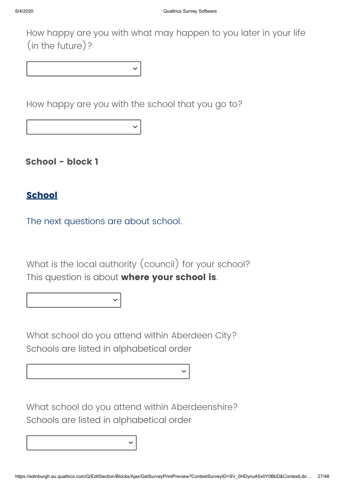How happy are you with what may happen to you later in your life (in the future)?

How happy are you with the school that you go to?

**School - block 1**

### **School**

The next questions are about school.

What is the local authority (council) for your school? This question is about **where your school is**.

What school do you attend within Aberdeen City? Schools are listed in alphabetical order

What school do you attend within Aberdeenshire? Schools are listed in alphabetical order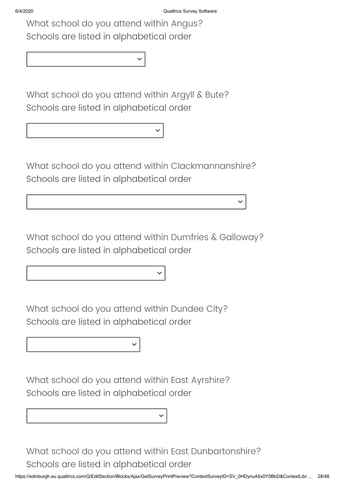What school do you attend within Angus? Schools are listed in alphabetical order

What school do you attend within Argyll & Bute? Schools are listed in alphabetical order

What school do you attend within Clackmannanshire? Schools are listed in alphabetical order

What school do you attend within Dumfries & Galloway? Schools are listed in alphabetical order

What school do you attend within Dundee City? Schools are listed in alphabetical order

What school do you attend within East Ayrshire? Schools are listed in alphabetical order

What school do you attend within East Dunbartonshire? Schools are listed in alphabetical order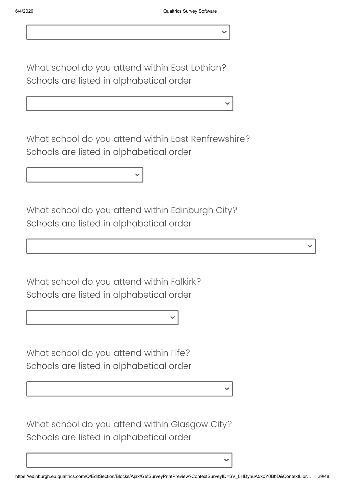What school do you attend within East Lothian? Schools are listed in alphabetical order

What school do you attend within East Renfrewshire? Schools are listed in alphabetical order

What school do you attend within Edinburgh City? Schools are listed in alphabetical order

What school do you attend within Falkirk? Schools are listed in alphabetical order

What school do you attend within Fife? Schools are listed in alphabetical order

What school do you attend within Glasgow City? Schools are listed in alphabetical order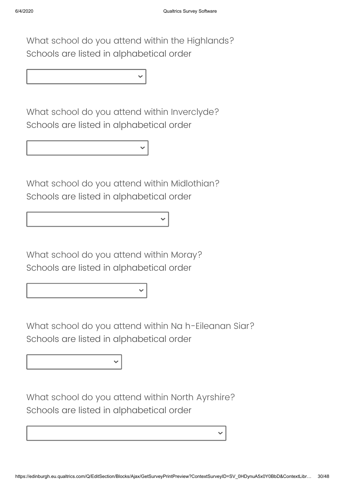What school do you attend within the Highlands? Schools are listed in alphabetical order

What school do you attend within Inverclyde? Schools are listed in alphabetical order

What school do you attend within Midlothian? Schools are listed in alphabetical order

What school do you attend within Moray? Schools are listed in alphabetical order

What school do you attend within Na h-Eileanan Siar? Schools are listed in alphabetical order

What school do you attend within North Ayrshire? Schools are listed in alphabetical order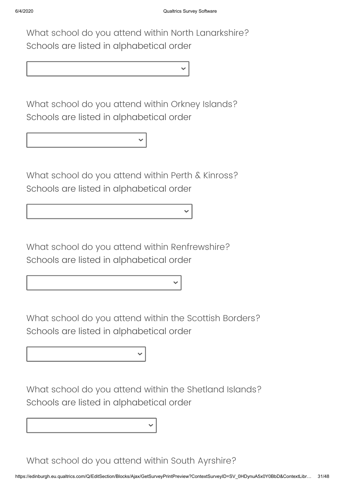What school do you attend within North Lanarkshire? Schools are listed in alphabetical order

What school do you attend within Orkney Islands? Schools are listed in alphabetical order

What school do you attend within Perth & Kinross? Schools are listed in alphabetical order

What school do you attend within Renfrewshire? Schools are listed in alphabetical order

What school do you attend within the Scottish Borders? Schools are listed in alphabetical order

What school do you attend within the Shetland Islands? Schools are listed in alphabetical order

What school do you attend within South Ayrshire?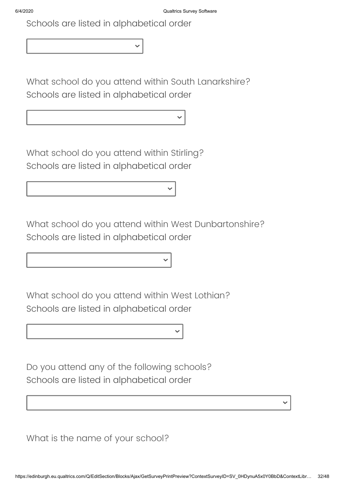Schools are listed in alphabetical order

What school do you attend within South Lanarkshire? Schools are listed in alphabetical order

What school do you attend within Stirling? Schools are listed in alphabetical order

What school do you attend within West Dunbartonshire? Schools are listed in alphabetical order

What school do you attend within West Lothian? Schools are listed in alphabetical order

Do you attend any of the following schools? Schools are listed in alphabetical order

What is the name of your school?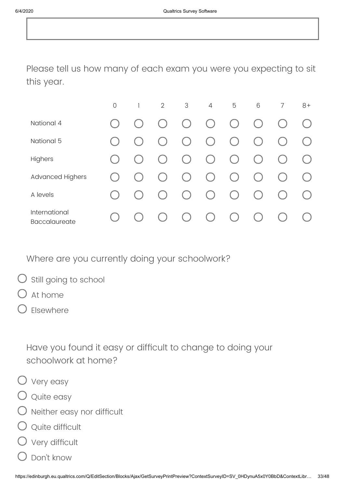Please tell us how many of each exam you were you expecting to sit this year.

|                                       | $\mathcal{O}$ | $\overline{2}$               | 3         | $\overline{4}$         | 5                      | 6                                                              | 7 | $8+$ |
|---------------------------------------|---------------|------------------------------|-----------|------------------------|------------------------|----------------------------------------------------------------|---|------|
| National 4                            |               | $\mathcal{C}$                | $($ )     | $\left( \quad \right)$ | $\left( \quad \right)$ | $\left($                                                       |   |      |
| National 5                            |               | $\qquad \qquad \blacksquare$ | $($ )     | $\left( \quad \right)$ | $($ )                  | $(\ )$                                                         |   |      |
| Highers                               |               |                              | ( )       | $\left( \quad \right)$ | $\left( \quad \right)$ | $\left(\begin{array}{c} \lambda \\ \lambda \end{array}\right)$ |   |      |
| <b>Advanced Highers</b>               |               |                              | $($ )     | $\left( \quad \right)$ | (                      | $\left( \quad \right)$                                         |   |      |
| A levels                              |               |                              | $(\quad)$ | $($ )                  | $\left( \quad \right)$ | (                                                              |   |      |
| International<br><b>Baccalaureate</b> |               |                              | $(\quad)$ | $(\ )$                 | $($ )                  |                                                                |   |      |

Where are you currently doing your schoolwork?

- $\bigcirc$  still going to school
- At home
- Elsewhere

Have you found it easy or difficult to change to doing your schoolwork at home?

- Very easy
- Quite easy
- $\bigcirc$  Neither easy nor difficult
- Quite difficult
- Very difficult
- Don't know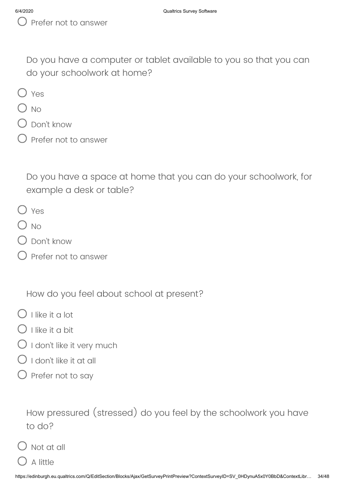Do you have a computer or tablet available to you so that you can do your schoolwork at home?

- $O$  Yes
- $\bigcirc$  No
- Don't know
- Prefer not to answer

Do you have a space at home that you can do your schoolwork, for example a desk or table?

- O Yes
- $\bigcirc$  No
- $\bigcirc$  Don't know
- Prefer not to answer

How do you feel about school at present?

- $\bigcap$  I like it a lot
- $\bigcirc$  I like it a bit
- $\bigcirc$  I don't like it very much
- $\bigcap$  I don't like it at all
- $\bigcirc$  Prefer not to say

How pressured (stressed) do you feel by the schoolwork you have to do?

 $\bigcirc$  Not at all

A little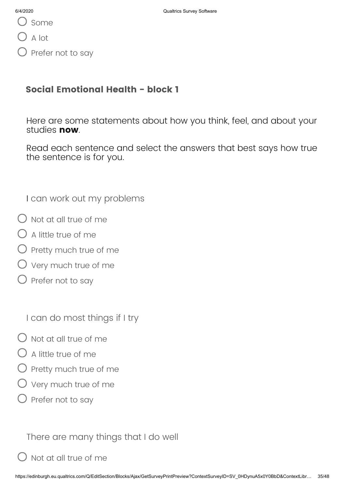A lot

Prefer not to say

# **Social Emotional Health - block 1**

Here are some statements about how you think, feel, and about your studies **now**.

Read each sentence and select the answers that best says how true the sentence is for you.

I can work out my problems

- $\bigcirc$  Not at all true of me
- $\bigcirc$  A little true of me
- ) Pretty much true of me
- Very much true of me
- $\bigcirc$  Prefer not to say

I can do most things if I try

- $\Omega$  Not at all true of me
- $\bigcirc$  A little true of me
- $\bigcirc$  Pretty much true of me
- $\bigcirc$  Very much true of me
- $\bigcirc$  Prefer not to say

There are many things that I do well

Not at all true of me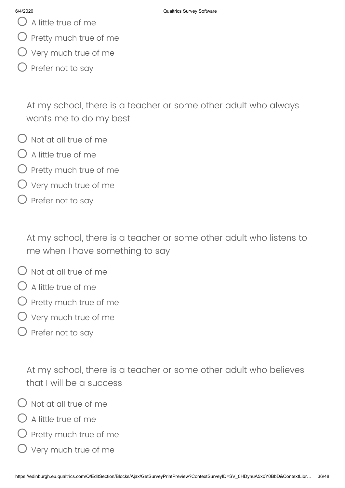- $\bigcup$  A little true of me
- $\bigcirc$  Pretty much true of me
- $\bigcirc$  Very much true of me
- $\bigcirc$  Prefer not to say

At my school, there is a teacher or some other adult who always wants me to do my best

- $\bigcirc$  Not at all true of me
- $\bigcap$  A little true of me
- $\bigcirc$  Pretty much true of me
- Very much true of me
- $\bigcirc$  Prefer not to say

At my school, there is a teacher or some other adult who listens to me when I have something to say

- $\bigcap$  Not at all true of me
- $\bigcirc$  A little true of me
- Pretty much true of me
- $\overline{\phantom{a}}$  Very much true of me
- $\bigcirc$  Prefer not to say

At my school, there is a teacher or some other adult who believes that I will be a success

- $\bigcirc$  Not at all true of me
- $\bigcirc$  A little true of me
- Pretty much true of me
- $\bigcirc$  Very much true of me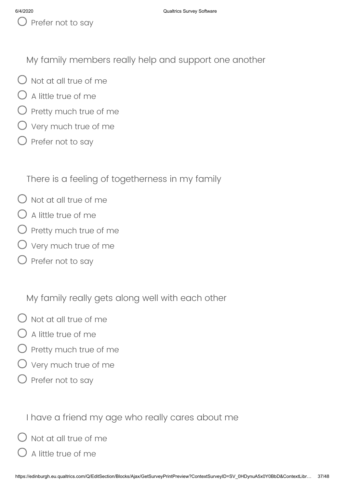My family members really help and support one another

- $\bigcap$  Not at all true of me
- $\bigcirc$  A little true of me
- $O$  Pretty much true of me
- $O$  Very much true of me
- $\bigcirc$  Prefer not to say

There is a feeling of togetherness in my family

- $\bigcap$  Not at all true of me
- $\bigcirc$  A little true of me
- $\bigcirc$  Pretty much true of me
- Very much true of me
- $\bigcirc$  Prefer not to say

My family really gets along well with each other

- $\bigcirc$  Not at all true of me
- $\bigcap$  A little true of me
- $\bigcirc$  Pretty much true of me
- $\bigcirc$  Very much true of me
- $\bigcirc$  Prefer not to say

I have a friend my age who really cares about me

Not at all true of me

A little true of me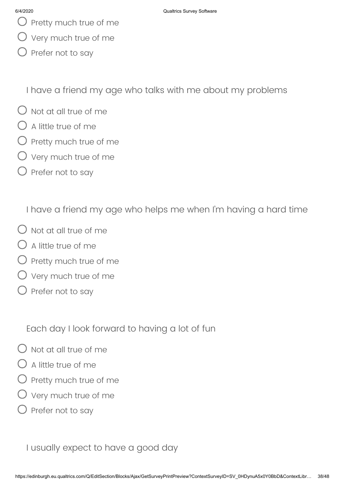- $\bigcup$  Pretty much true of me
- Very much true of me
- Prefer not to say

I have a friend my age who talks with me about my problems

- $\bigcirc$  Not at all true of me
- $\bigcap$  A little true of me
- $\bigcirc$  Pretty much true of me
- $\bigcirc$  Very much true of me
- $\bigcirc$  Prefer not to say

I have a friend my age who helps me when I'm having a hard time

- $\bigcirc$  Not at all true of me
- $\bigcap$  A little true of me
- $\bigcirc$  Pretty much true of me
- $\bigcirc$  Very much true of me
- $\bigcirc$  Prefer not to say

Each day I look forward to having a lot of fun

- $\bigcap$  Not at all true of me
- A little true of me
- Pretty much true of me
- Very much true of me
- $\bigcirc$  Prefer not to say

I usually expect to have a good day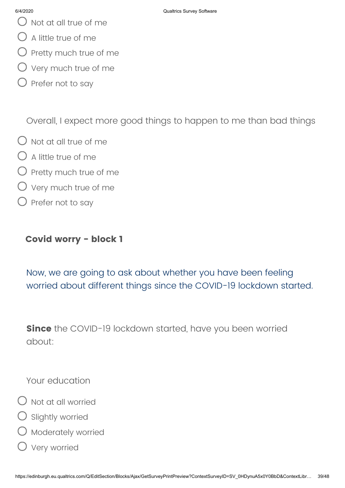- $\bigcirc$  Not at all true of me
- $\bigcirc$  A little true of me
- $\bigcirc$  Pretty much true of me
- $\bigcirc$  Very much true of me
- $\bigcirc$  Prefer not to say

Overall, I expect more good things to happen to me than bad things

- $\bigcirc$  Not at all true of me
- $\bigcirc$  A little true of me
- $\bigcirc$  Pretty much true of me
- $\bigcirc$  Very much true of me
- $\bigcirc$  Prefer not to say

### **Covid worry - block 1**

Now, we are going to ask about whether you have been feeling worried about different things since the COVID-19 lockdown started.

**Since** the COVID-19 lockdown started, have you been worried about:

Your education

- $\bigcirc$  Not at all worried
- $O$  Slightly worried
- O Moderately worried
- Very worried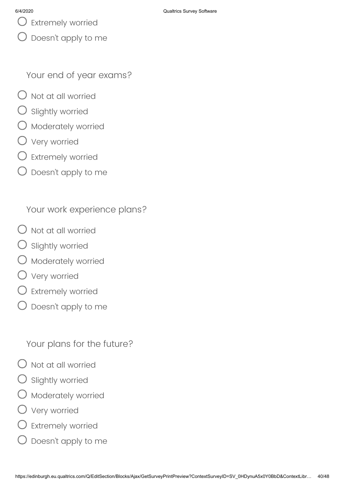$\bigcup$  Extremely worried

Doesn't apply to me

Your end of year exams?

- $\bigcirc$  Not at all worried
- ) Slightly worried
- Moderately worried
- Very worried
- Extremely worried
- Doesn't apply to me

Your work experience plans?

- $\bigcirc$  Not at all worried
- Slightly worried
- $\bigcirc$  Moderately worried
- Very worried
- Extremely worried
- $\bigcirc$  Doesn't apply to me

Your plans for the future?

- Not at all worried
- Slightly worried
- Moderately worried
- Very worried
- Extremely worried
- Doesn't apply to me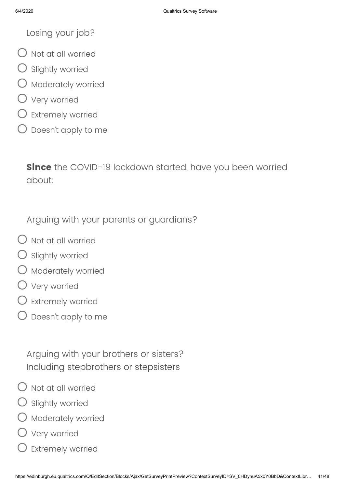Losing your job?

- $\bigcirc$  Not at all worried
- Slightly worried
- Moderately worried
- Very worried
- Extremely worried
- $\bigcirc$  Doesn't apply to me

**Since** the COVID-19 lockdown started, have you been worried about:

Arguing with your parents or guardians?

- $\bigcirc$  Not at all worried
- Slightly worried
- Moderately worried
- Very worried
- Extremely worried
- Doesn't apply to me

Arguing with your brothers or sisters? Including stepbrothers or stepsisters

- Not at all worried
- Slightly worried
- Moderately worried
- Very worried
- $\mathsf D$  Extremely worried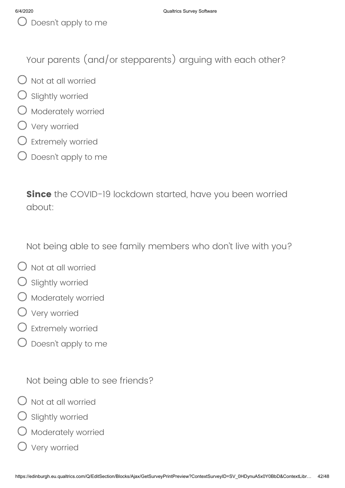Your parents (and/or stepparents) arguing with each other?

- $\bigcirc$  Not at all worried
- Slightly worried
- $\bigcirc$  Moderately worried
- Very worried
- $\bigcirc$  Extremely worried
- Doesn't apply to me

**Since** the COVID-19 lockdown started, have you been worried about:

Not being able to see family members who don't live with you?

- $\bigcirc$  Not at all worried
- $\bigcirc$  Slightly worried
- $O$  Moderately worried
- Very worried
- Extremely worried
- Doesn't apply to me

Not being able to see friends?

- $\bigcirc$  Not at all worried
- Slightly worried
- Moderately worried
- Very worried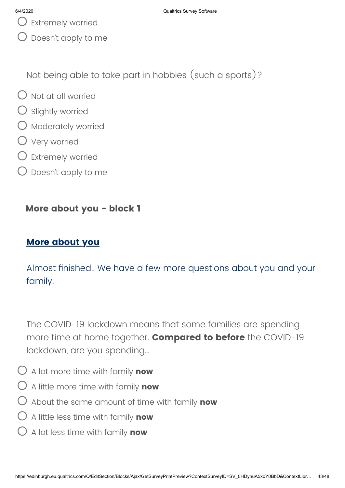- 
- Doesn't apply to me

Not being able to take part in hobbies (such a sports)?

- $O$  Not at all worried
- $\bigcirc$  Slightly worried
- $O$  Moderately worried
- Very worried
- $\bigcirc$  Extremely worried
- $\bigcirc$  Doesn't apply to me

### **More about you - block 1**

# **More about you**

Almost finished! We have a few more questions about you and your family.

The COVID-19 lockdown means that some families are spending more time at home together. **Compared to before** the COVID-19 lockdown, are you spending…

- A lot more time with family **now**
- A little more time with family **now**
- About the same amount of time with family **now**
- A little less time with family **now**
- A lot less time with family **now**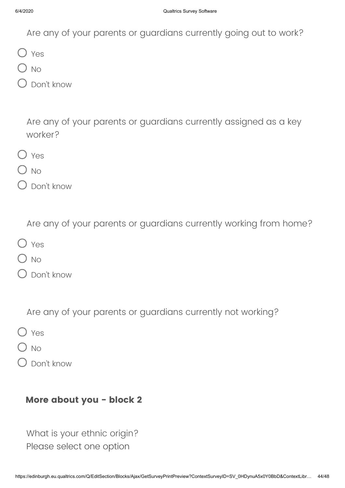Are any of your parents or guardians currently going out to work?

O Yes

 $O$  No

Don't know

Are any of your parents or guardians currently assigned as a key worker?

- $O$  Yes
- $O$  No
- Don't know

Are any of your parents or guardians currently working from home?

- O Yes
- $\sum$  No
- Don't know

Are any of your parents or guardians currently not working?

- O Yes
- $\bigcirc$  No
- Don't know

### **More about you - block 2**

What is your ethnic origin? Please select one option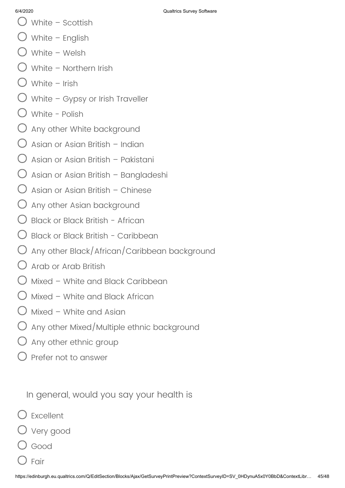- 
- White Scottish
- White English
- White Welsh
- White Northern Irish
- White Irish
- $\bigcirc$  White Gypsy or Irish Traveller
- White Polish
- $\bigcup$  Any other White background
- Asian or Asian British Indian
- $\bigcirc$  Asian or Asian British Pakistani
- $\bigcup$  Asian or Asian British Bangladeshi
- $\bigcup$  Asian or Asian British Chinese
- $\bigcirc$  Any other Asian background
- Black or Black British African
- $\bigcup$  Black or Black British Caribbean
- Any other Black/African/Caribbean background
- $\bigcirc$  Arab or Arab British
- Mixed White and Black Caribbean
- Mixed White and Black African
- $\bigcap$  Mixed White and Asian
- $\bigcirc$  Any other Mixed/Multiple ethnic background
- $\bigcirc$  Any other ethnic group
- Prefer not to answer

In general, would you say your health is

- Excellent
- Very good
- Good
- Fair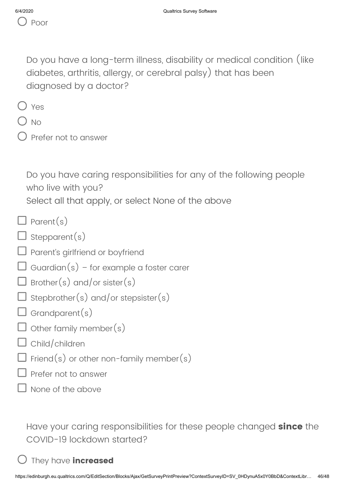Do you have a long-term illness, disability or medical condition (like diabetes, arthritis, allergy, or cerebral palsy) that has been diagnosed by a doctor?

|--|--|

- $O$  No
- Prefer not to answer

Do you have caring responsibilities for any of the following people who live with you?

Select all that apply, or select None of the above

- $\Box$  Parent(s)
- $\Box$  Stepparent(s)
- $\square$  Parent's girlfriend or boyfriend
- $\Box$  Guardian(s) for example a foster carer
- $\Box$  Brother(s) and/or sister(s)
- $\sf J$  Stepbrother $(s)$  and/or stepsister $(s)$
- $\Box$  Grandparent(s)
- $\overline{\mathsf{I}}$  Other family member(s)
- $\Box$  Child/children
- $\Box$  Friend(s) or other non-family member(s)
- Prefer not to answer
- None of the above

Have your caring responsibilities for these people changed **since** the COVID-19 lockdown started?

# They have **increased**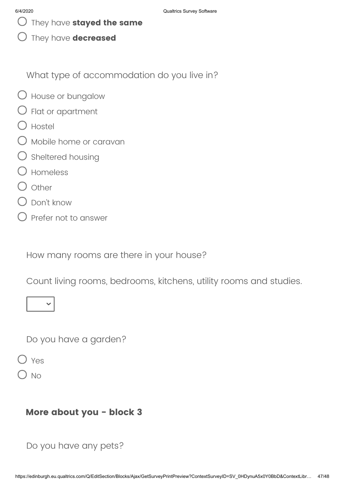They have **stayed the same**

They have **decreased**

What type of accommodation do you live in?

- House or bungalow
- $\bigcirc$  Flat or apartment
- O Hostel
- Mobile home or caravan
- $\bigcirc$  Sheltered housing
- Homeless
- $\bigcap$  Other
- Don't know
- $\bigcirc$  Prefer not to answer

How many rooms are there in your house?

Count living rooms, bedrooms, kitchens, utility rooms and studies.



Do you have a garden?

Yes

)  $N<sub>O</sub>$ 

### **More about you - block 3**

Do you have any pets?